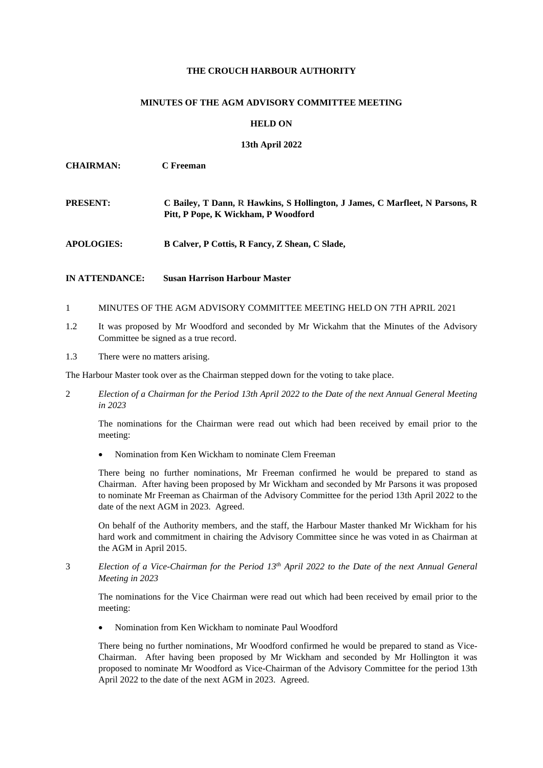## **THE CROUCH HARBOUR AUTHORITY**

## **MINUTES OF THE AGM ADVISORY COMMITTEE MEETING**

## **HELD ON**

## **13th April 2022**

| <b>CHAIRMAN:</b>  | C Freeman                                                                                                           |
|-------------------|---------------------------------------------------------------------------------------------------------------------|
| <b>PRESENT:</b>   | C Bailey, T Dann, R Hawkins, S Hollington, J James, C Marfleet, N Parsons, R<br>Pitt, P Pope, K Wickham, P Woodford |
| <b>APOLOGIES:</b> | B Calver, P Cottis, R Fancy, Z Shean, C Slade,                                                                      |

- **IN ATTENDANCE: Susan Harrison Harbour Master**
- 1 MINUTES OF THE AGM ADVISORY COMMITTEE MEETING HELD ON 7TH APRIL 2021
- 1.2 It was proposed by Mr Woodford and seconded by Mr Wickahm that the Minutes of the Advisory Committee be signed as a true record.
- 1.3 There were no matters arising.

The Harbour Master took over as the Chairman stepped down for the voting to take place.

2 *Election of a Chairman for the Period 13th April 2022 to the Date of the next Annual General Meeting in 2023*

The nominations for the Chairman were read out which had been received by email prior to the meeting:

• Nomination from Ken Wickham to nominate Clem Freeman

There being no further nominations, Mr Freeman confirmed he would be prepared to stand as Chairman. After having been proposed by Mr Wickham and seconded by Mr Parsons it was proposed to nominate Mr Freeman as Chairman of the Advisory Committee for the period 13th April 2022 to the date of the next AGM in 2023. Agreed.

On behalf of the Authority members, and the staff, the Harbour Master thanked Mr Wickham for his hard work and commitment in chairing the Advisory Committee since he was voted in as Chairman at the AGM in April 2015.

3 *Election of a Vice-Chairman for the Period 13th April 2022 to the Date of the next Annual General Meeting in 2023*

The nominations for the Vice Chairman were read out which had been received by email prior to the meeting:

• Nomination from Ken Wickham to nominate Paul Woodford

There being no further nominations, Mr Woodford confirmed he would be prepared to stand as Vice-Chairman. After having been proposed by Mr Wickham and seconded by Mr Hollington it was proposed to nominate Mr Woodford as Vice-Chairman of the Advisory Committee for the period 13th April 2022 to the date of the next AGM in 2023. Agreed.